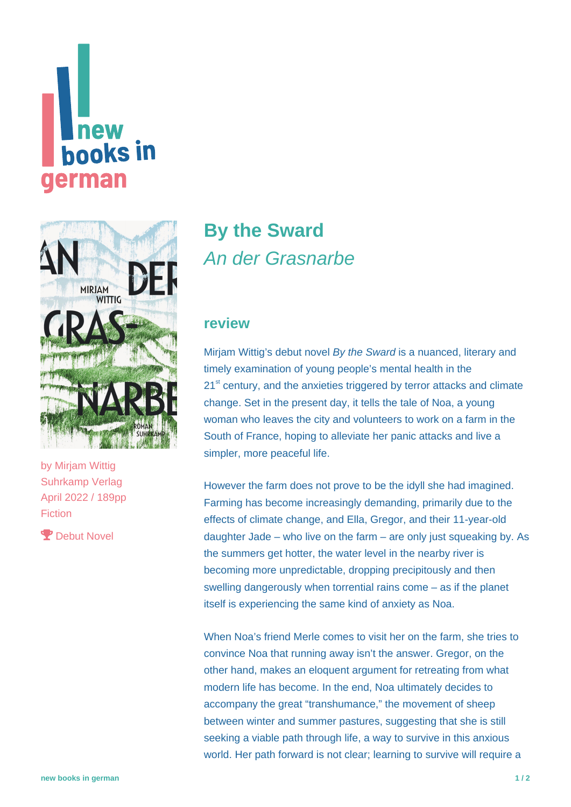# **new books** in erman



by [Mirjam Wittig](https://www.new-books-in-german.com/recommendations/?searchInput=Mirjam%20Wittig) Suhrkamp Verlag April 2022 / 189pp Fiction

P Debut Novel

# **[By the Sward](https://www.new-books-in-german.com/recommendations/on-the-sward/)** An der Grasnarbe

#### **review**

Mirjam Wittig's debut novel By the Sward is a nuanced, literary and timely examination of young people's mental health in the 21<sup>st</sup> century, and the anxieties triggered by terror attacks and climate change. Set in the present day, it tells the tale of Noa, a young woman who leaves the city and volunteers to work on a farm in the South of France, hoping to alleviate her panic attacks and live a simpler, more peaceful life.

However the farm does not prove to be the idyll she had imagined. Farming has become increasingly demanding, primarily due to the effects of climate change, and Ella, Gregor, and their 11-year-old daughter Jade – who live on the farm – are only just squeaking by. As the summers get hotter, the water level in the nearby river is becoming more unpredictable, dropping precipitously and then swelling dangerously when torrential rains come – as if the planet itself is experiencing the same kind of anxiety as Noa.

When Noa's friend Merle comes to visit her on the farm, she tries to convince Noa that running away isn't the answer. Gregor, on the other hand, makes an eloquent argument for retreating from what modern life has become. In the end, Noa ultimately decides to accompany the great "transhumance," the movement of sheep between winter and summer pastures, suggesting that she is still seeking a viable path through life, a way to survive in this anxious world. Her path forward is not clear; learning to survive will require a